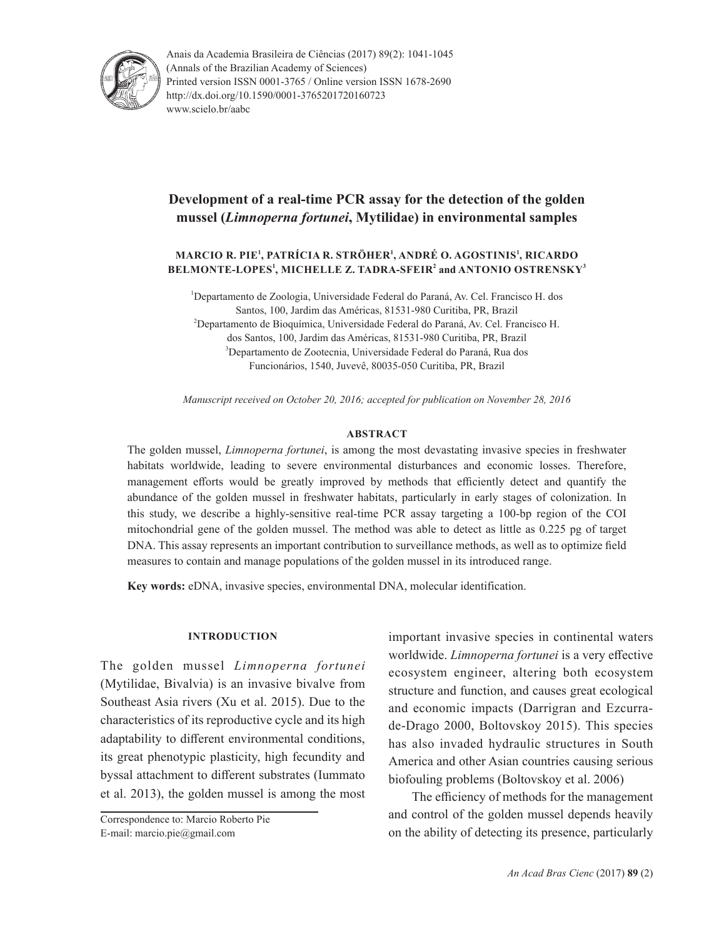

Anais da Academia Brasileira de Ciências (2017) 89(2): 1041-1045 (Annals of the Brazilian Academy of Sciences) Printed version ISSN 0001-3765 / Online version ISSN 1678-2690 http://dx.doi.org/10.1590/0001-3765201720160723 www.scielo.br/aabc

# **Development of a real-time PCR assay for the detection of the golden mussel (***Limnoperna fortunei***, Mytilidae) in environmental samples**

# **MARCIO R. PIE<sup>1</sup> , PATRÍCIA R. STRÖHER<sup>1</sup> , ANDRÉ O. AGOSTINIS<sup>1</sup> , RICARDO BELMONTE-LOPES<sup>1</sup> , MICHELLE Z. TADRA-SFEIR<sup>2</sup> and ANTONIO OSTRENSKY<sup>3</sup>**

1 Departamento de Zoologia, Universidade Federal do Paraná, Av. Cel. Francisco H. dos Santos, 100, Jardim das Américas, 81531-980 Curitiba, PR, Brazil 2 Departamento de Bioquímica, Universidade Federal do Paraná, Av. Cel. Francisco H. dos Santos, 100, Jardim das Américas, 81531-980 Curitiba, PR, Brazil 3 Departamento de Zootecnia, Universidade Federal do Paraná, Rua dos Funcionários, 1540, Juvevê, 80035-050 Curitiba, PR, Brazil

*Manuscript received on October 20, 2016; accepted for publication on November 28, 2016*

# **ABSTRACT**

The golden mussel, *Limnoperna fortunei*, is among the most devastating invasive species in freshwater habitats worldwide, leading to severe environmental disturbances and economic losses. Therefore, management efforts would be greatly improved by methods that efficiently detect and quantify the abundance of the golden mussel in freshwater habitats, particularly in early stages of colonization. In this study, we describe a highly-sensitive real-time PCR assay targeting a 100-bp region of the COI mitochondrial gene of the golden mussel. The method was able to detect as little as 0.225 pg of target DNA. This assay represents an important contribution to surveillance methods, as well as to optimize field measures to contain and manage populations of the golden mussel in its introduced range.

**Key words:** eDNA, invasive species, environmental DNA, molecular identification.

## **INTRODUCTION**

The golden mussel *Limnoperna fortunei* (Mytilidae, Bivalvia) is an invasive bivalve from Southeast Asia rivers (Xu et al. 2015). Due to the characteristics of its reproductive cycle and its high adaptability to different environmental conditions, its great phenotypic plasticity, high fecundity and byssal attachment to different substrates (Iummato et al. 2013), the golden mussel is among the most

important invasive species in continental waters worldwide. *Limnoperna fortunei* is a very effective ecosystem engineer, altering both ecosystem structure and function, and causes great ecological and economic impacts (Darrigran and Ezcurrade-Drago 2000, Boltovskoy 2015). This species has also invaded hydraulic structures in South America and other Asian countries causing serious biofouling problems (Boltovskoy et al. 2006)

The efficiency of methods for the management and control of the golden mussel depends heavily on the ability of detecting its presence, particularly

Correspondence to: Marcio Roberto Pie E-mail: marcio.pie@gmail.com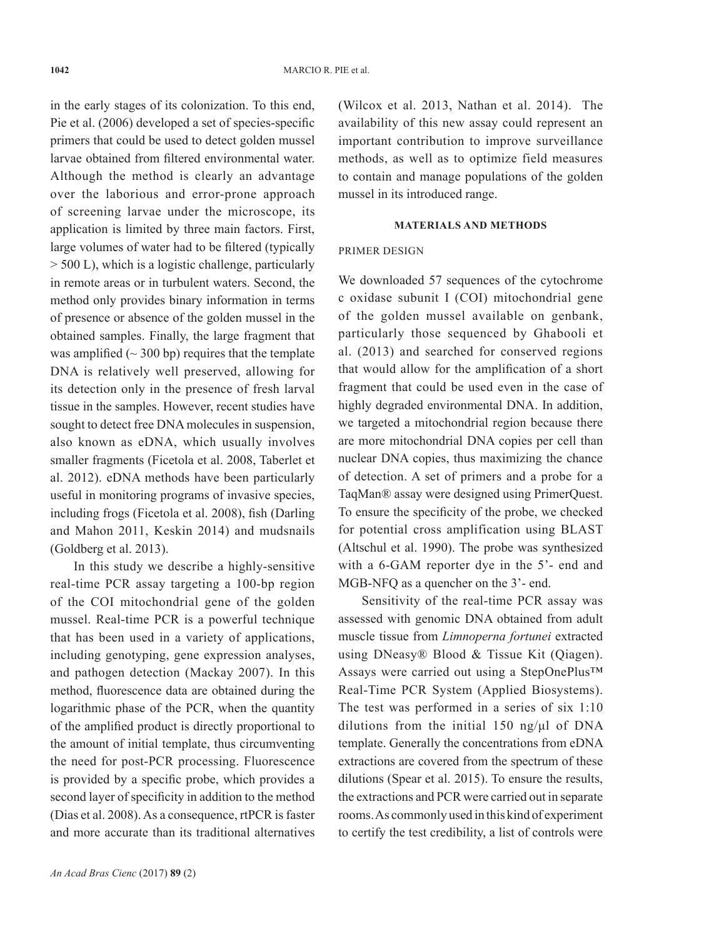in the early stages of its colonization. To this end, Pie et al. (2006) developed a set of species-specific primers that could be used to detect golden mussel larvae obtained from filtered environmental water. Although the method is clearly an advantage over the laborious and error-prone approach of screening larvae under the microscope, its application is limited by three main factors. First, large volumes of water had to be filtered (typically  $> 500$  L), which is a logistic challenge, particularly in remote areas or in turbulent waters. Second, the method only provides binary information in terms of presence or absence of the golden mussel in the obtained samples. Finally, the large fragment that was amplified  $({\sim}300 \text{ bp})$  requires that the template DNA is relatively well preserved, allowing for its detection only in the presence of fresh larval tissue in the samples. However, recent studies have sought to detect free DNA molecules in suspension, also known as eDNA, which usually involves smaller fragments (Ficetola et al. 2008, Taberlet et al. 2012). eDNA methods have been particularly useful in monitoring programs of invasive species, including frogs (Ficetola et al. 2008), fish (Darling and Mahon 2011, Keskin 2014) and mudsnails (Goldberg et al. 2013).

In this study we describe a highly-sensitive real-time PCR assay targeting a 100-bp region of the COI mitochondrial gene of the golden mussel. Real-time PCR is a powerful technique that has been used in a variety of applications, including genotyping, gene expression analyses, and pathogen detection (Mackay 2007). In this method, fluorescence data are obtained during the logarithmic phase of the PCR, when the quantity of the amplified product is directly proportional to the amount of initial template, thus circumventing the need for post-PCR processing. Fluorescence is provided by a specific probe, which provides a second layer of specificity in addition to the method (Dias et al. 2008). As a consequence, rtPCR is faster and more accurate than its traditional alternatives (Wilcox et al. 2013, Nathan et al. 2014). The availability of this new assay could represent an important contribution to improve surveillance methods, as well as to optimize field measures to contain and manage populations of the golden mussel in its introduced range.

## **MATERIALS AND METHODS**

#### PRIMER DESIGN

We downloaded 57 sequences of the cytochrome c oxidase subunit I (COI) mitochondrial gene of the golden mussel available on genbank, particularly those sequenced by Ghabooli et al. (2013) and searched for conserved regions that would allow for the amplification of a short fragment that could be used even in the case of highly degraded environmental DNA. In addition, we targeted a mitochondrial region because there are more mitochondrial DNA copies per cell than nuclear DNA copies, thus maximizing the chance of detection. A set of primers and a probe for a TaqMan® assay were designed using PrimerQuest. To ensure the specificity of the probe, we checked for potential cross amplification using BLAST (Altschul et al. 1990). The probe was synthesized with a 6-GAM reporter dye in the 5'- end and MGB-NFQ as a quencher on the 3'- end.

Sensitivity of the real-time PCR assay was assessed with genomic DNA obtained from adult muscle tissue from *Limnoperna fortunei* extracted using DNeasy® Blood & Tissue Kit (Qiagen). Assays were carried out using a StepOnePlus™ Real-Time PCR System (Applied Biosystems). The test was performed in a series of six 1:10 dilutions from the initial 150 ng/μl of DNA template. Generally the concentrations from eDNA extractions are covered from the spectrum of these dilutions (Spear et al. 2015). To ensure the results, the extractions and PCR were carried out in separate rooms. As commonly used in this kind of experiment to certify the test credibility, a list of controls were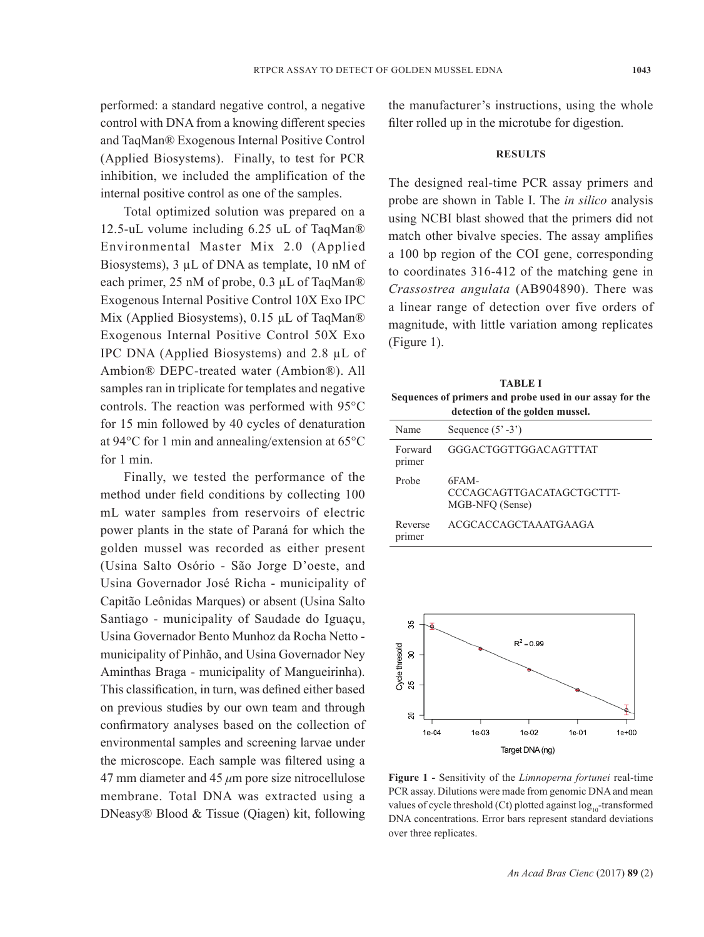performed: a standard negative control, a negative control with DNA from a knowing different species and TaqMan® Exogenous Internal Positive Control (Applied Biosystems). Finally, to test for PCR inhibition, we included the amplification of the internal positive control as one of the samples.

Total optimized solution was prepared on a 12.5-uL volume including 6.25 uL of TaqMan® Environmental Master Mix 2.0 (Applied Biosystems), 3 µL of DNA as template, 10 nM of each primer, 25 nM of probe, 0.3 µL of TaqMan® Exogenous Internal Positive Control 10X Exo IPC Mix (Applied Biosystems), 0.15 μL of TaqMan® Exogenous Internal Positive Control 50X Exo IPC DNA (Applied Biosystems) and 2.8 µL of Ambion® DEPC-treated water (Ambion®). All samples ran in triplicate for templates and negative controls. The reaction was performed with 95°C for 15 min followed by 40 cycles of denaturation at 94°C for 1 min and annealing/extension at 65°C for 1 min.

Finally, we tested the performance of the method under field conditions by collecting 100 mL water samples from reservoirs of electric power plants in the state of Paraná for which the golden mussel was recorded as either present (Usina Salto Osório - São Jorge D'oeste, and Usina Governador José Richa - municipality of Capitão Leônidas Marques) or absent (Usina Salto Santiago - municipality of Saudade do Iguaçu, Usina Governador Bento Munhoz da Rocha Netto municipality of Pinhão, and Usina Governador Ney Aminthas Braga - municipality of Mangueirinha). This classification, in turn, was defined either based on previous studies by our own team and through confirmatory analyses based on the collection of environmental samples and screening larvae under the microscope. Each sample was filtered using a 47 mm diameter and 45 *μ*m pore size nitrocellulose membrane. Total DNA was extracted using a DNeasy® Blood & Tissue (Qiagen) kit, following the manufacturer's instructions, using the whole filter rolled up in the microtube for digestion.

#### **RESULTS**

The designed real-time PCR assay primers and probe are shown in Table I. The *in silico* analysis using NCBI blast showed that the primers did not match other bivalve species. The assay amplifies a 100 bp region of the COI gene, corresponding to coordinates 316-412 of the matching gene in *Crassostrea angulata* (AB904890). There was a linear range of detection over five orders of magnitude, with little variation among replicates (Figure 1).

**TABLE I Sequences of primers and probe used in our assay for the detection of the golden mussel.**

| Name              | Sequence $(5' - 3')$                                  |
|-------------------|-------------------------------------------------------|
| Forward<br>primer | GGGACTGGTTGGACAGTTTAT                                 |
| Probe             | 6FAM-<br>CCCAGCAGTTGACATAGCTGCTTT-<br>MGB-NFQ (Sense) |
| Reverse<br>primer | ACGCACCAGCTAAATGAAGA                                  |



**Figure 1 -** Sensitivity of the *Limnoperna fortunei* real-time PCR assay. Dilutions were made from genomic DNA and mean values of cycle threshold (Ct) plotted against  $log_{10}$ -transformed DNA concentrations. Error bars represent standard deviations over three replicates.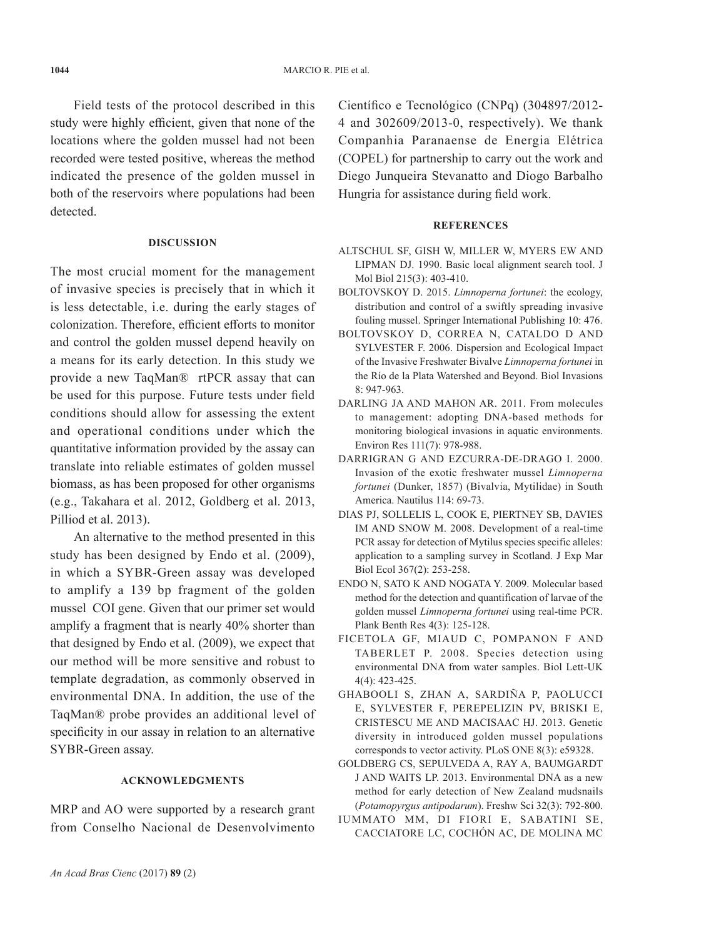Field tests of the protocol described in this study were highly efficient, given that none of the locations where the golden mussel had not been recorded were tested positive, whereas the method indicated the presence of the golden mussel in both of the reservoirs where populations had been detected.

# **DISCUSSION**

The most crucial moment for the management of invasive species is precisely that in which it is less detectable, i.e. during the early stages of colonization. Therefore, efficient efforts to monitor and control the golden mussel depend heavily on a means for its early detection. In this study we provide a new TaqMan® rtPCR assay that can be used for this purpose. Future tests under field conditions should allow for assessing the extent and operational conditions under which the quantitative information provided by the assay can translate into reliable estimates of golden mussel biomass, as has been proposed for other organisms (e.g., Takahara et al. 2012, Goldberg et al. 2013, Pilliod et al. 2013).

An alternative to the method presented in this study has been designed by Endo et al. (2009), in which a SYBR-Green assay was developed to amplify a 139 bp fragment of the golden mussel COI gene. Given that our primer set would amplify a fragment that is nearly 40% shorter than that designed by Endo et al. (2009), we expect that our method will be more sensitive and robust to template degradation, as commonly observed in environmental DNA. In addition, the use of the TaqMan® probe provides an additional level of specificity in our assay in relation to an alternative SYBR-Green assay.

#### **ACKNOWLEDGMENTS**

MRP and AO were supported by a research grant from Conselho Nacional de Desenvolvimento

Científico e Tecnológico (CNPq) (304897/2012- 4 and 302609/2013-0, respectively). We thank Companhia Paranaense de Energia Elétrica (COPEL) for partnership to carry out the work and Diego Junqueira Stevanatto and Diogo Barbalho Hungria for assistance during field work.

# **REFERENCES**

- ALTSCHUL SF, GISH W, MILLER W, MYERS EW AND LIPMAN DJ. 1990. Basic local alignment search tool. J Mol Biol 215(3): 403-410.
- BOLTOVSKOY D. 2015. *Limnoperna fortunei*: the ecology, distribution and control of a swiftly spreading invasive fouling mussel. Springer International Publishing 10: 476.
- BOLTOVSKOY D, CORREA N, CATALDO D AND SYLVESTER F. 2006. Dispersion and Ecological Impact of the Invasive Freshwater Bivalve *Limnoperna fortunei* in the Río de la Plata Watershed and Beyond. Biol Invasions 8: 947-963.
- DARLING JA AND MAHON AR. 2011. From molecules to management: adopting DNA-based methods for monitoring biological invasions in aquatic environments. Environ Res 111(7): 978-988.
- DARRIGRAN G AND EZCURRA-DE-DRAGO I. 2000. Invasion of the exotic freshwater mussel *Limnoperna fortunei* (Dunker, 1857) (Bivalvia, Mytilidae) in South America. Nautilus 114: 69-73.
- DIAS PJ, SOLLELIS L, COOK E, PIERTNEY SB, DAVIES IM AND SNOW M. 2008. Development of a real-time PCR assay for detection of Mytilus species specific alleles: application to a sampling survey in Scotland. J Exp Mar Biol Ecol 367(2): 253-258.
- ENDO N, SATO K AND NOGATA Y. 2009. Molecular based method for the detection and quantification of larvae of the golden mussel *Limnoperna fortunei* using real-time PCR. Plank Benth Res 4(3): 125-128.
- FICETOLA GF, MIAUD C, POMPANON F AND TABERLET P. 2008. Species detection using environmental DNA from water samples. Biol Lett-UK 4(4): 423-425.
- GHABOOLI S, ZHAN A, SARDIÑA P, PAOLUCCI E, SYLVESTER F, PEREPELIZIN PV, BRISKI E, CRISTESCU ME AND MACISAAC HJ. 2013. Genetic diversity in introduced golden mussel populations corresponds to vector activity. PLoS ONE 8(3): e59328.
- GOLDBERG CS, SEPULVEDA A, RAY A, BAUMGARDT J AND WAITS LP. 2013. Environmental DNA as a new method for early detection of New Zealand mudsnails (*Potamopyrgus antipodarum*). Freshw Sci 32(3): 792-800.
- IUMMATO MM, DI FIORI E, SABATINI SE, CACCIATORE LC, COCHÓN AC, DE MOLINA MC